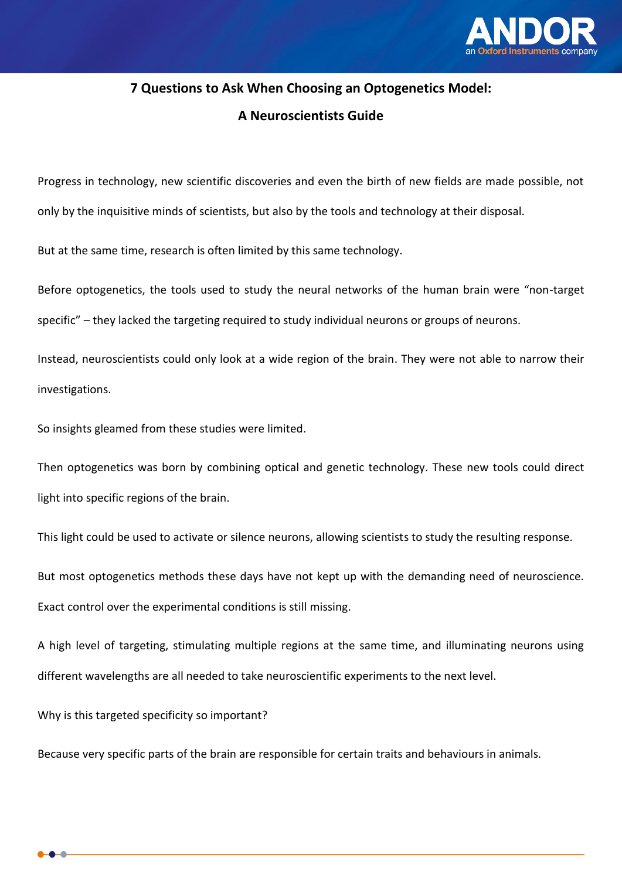

## **7 Questions to Ask When Choosing an Optogenetics Model:**

## **A Neuroscientists Guide**

Progress in technology, new scientific discoveries and even the birth of new fields are made possible, not only by the inquisitive minds of scientists, but also by the tools and technology at their disposal.

But at the same time, research is often limited by this same technology.

Before optogenetics, the tools used to study the neural networks of the human brain were "non-target specific" – they lacked the targeting required to study individual neurons or groups of neurons.

Instead, neuroscientists could only look at a wide region of the brain. They were not able to narrow their investigations.

So insights gleamed from these studies were limited.

Then optogenetics was born by combining optical and genetic technology. These new tools could direct light into specific regions of the brain.

This light could be used to activate or silence neurons, allowing scientists to study the resulting response.

But most optogenetics methods these days have not kept up with the demanding need of neuroscience. Exact control over the experimental conditions is still missing.

A high level of targeting, stimulating multiple regions at the same time, and illuminating neurons using different wavelengths are all needed to take neuroscientific experiments to the next level.

Why is this targeted specificity so important?

Because very specific parts of the brain are responsible for certain traits and behaviours in animals.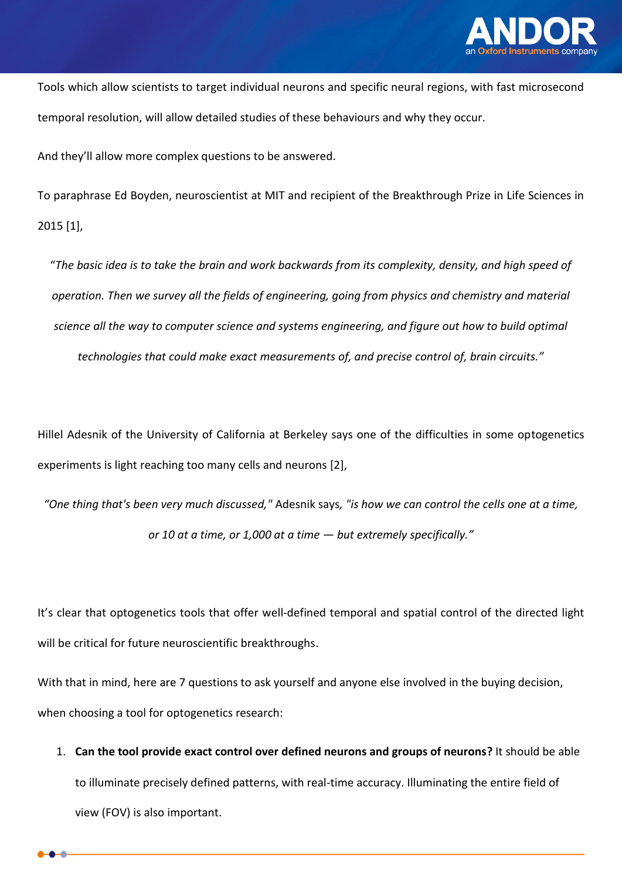

Tools which allow scientists to target individual neurons and specific neural regions, with fast microsecond temporal resolution, will allow detailed studies of these behaviours and why they occur.

And they'll allow more complex questions to be answered.

To paraphrase Ed Boyden, neuroscientist at MIT and recipient of the Breakthrough Prize in Life Sciences in 2015 [1],

"*The basic idea is to take the brain and work backwards from its complexity, density, and high speed of operation. Then we survey all the fields of engineering, going from physics and chemistry and material science all the way to computer science and systems engineering, and figure out how to build optimal technologies that could make exact measurements of, and precise control of, brain circuits."*

Hillel Adesnik of the University of California at Berkeley says one of the difficulties in some optogenetics experiments is light reaching too many cells and neurons [2],

*"One thing that's been very much discussed,"* Adesnik says*, "is how we can control the cells one at a time, or 10 at a time, or 1,000 at a time — but extremely specifically."*

It's clear that optogenetics tools that offer well-defined temporal and spatial control of the directed light will be critical for future neuroscientific breakthroughs.

With that in mind, here are 7 questions to ask yourself and anyone else involved in the buying decision, when choosing a tool for optogenetics research:

1. **Can the tool provide exact control over defined neurons and groups of neurons?** It should be able to illuminate precisely defined patterns, with real-time accuracy. Illuminating the entire field of view (FOV) is also important.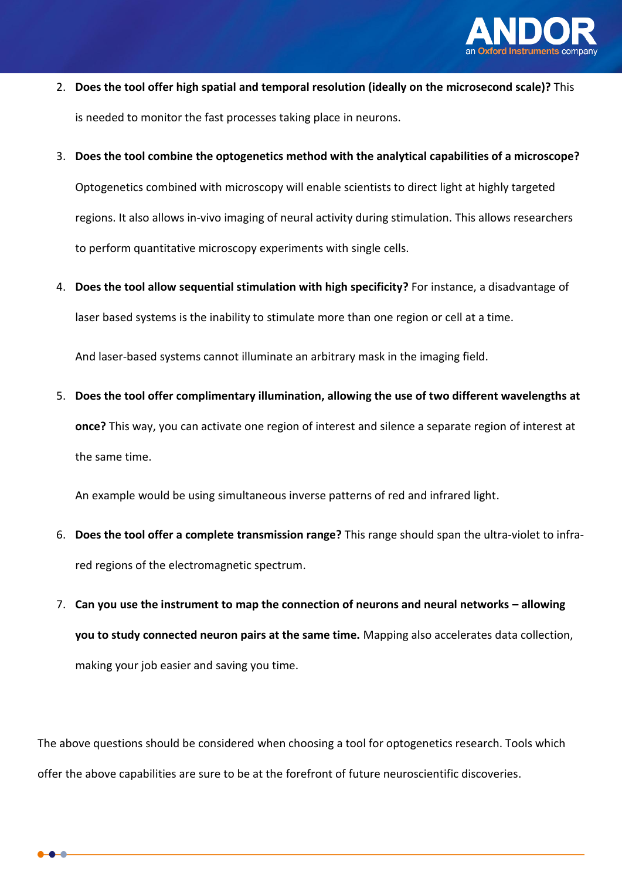

- 2. **Does the tool offer high spatial and temporal resolution (ideally on the microsecond scale)?** This is needed to monitor the fast processes taking place in neurons.
- 3. **Does the tool combine the optogenetics method with the analytical capabilities of a microscope?**

Optogenetics combined with microscopy will enable scientists to direct light at highly targeted regions. It also allows in-vivo imaging of neural activity during stimulation. This allows researchers to perform quantitative microscopy experiments with single cells.

4. **Does the tool allow sequential stimulation with high specificity?** For instance, a disadvantage of laser based systems is the inability to stimulate more than one region or cell at a time.

And laser-based systems cannot illuminate an arbitrary mask in the imaging field.

5. **Does the tool offer complimentary illumination, allowing the use of two different wavelengths at once?** This way, you can activate one region of interest and silence a separate region of interest at the same time.

An example would be using simultaneous inverse patterns of red and infrared light.

- 6. **Does the tool offer a complete transmission range?** This range should span the ultra-violet to infrared regions of the electromagnetic spectrum.
- 7. Can you use the instrument to map the connection of neurons and neural networks allowing **you to study connected neuron pairs at the same time.** Mapping also accelerates data collection, making your job easier and saving you time.

The above questions should be considered when choosing a tool for optogenetics research. Tools which offer the above capabilities are sure to be at the forefront of future neuroscientific discoveries.